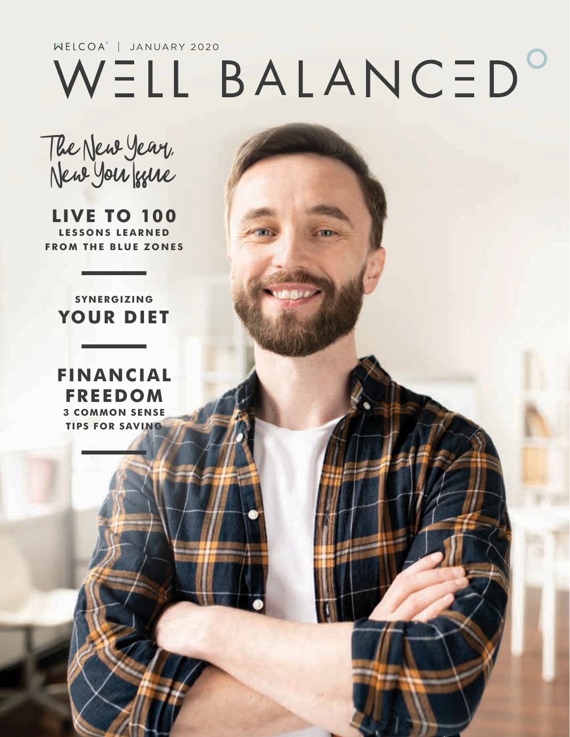# WELL BALANCED<sup>O</sup>

The New Year, New You frue

**LIVE TO 100 LESSONS LEARNED FROM THE BLUE ZONES**

#### **SYNERGIZING YOUR DIET**

**FINANCIAL FREEDOM 3 COMMON SENSE TIPS FOR SAVING**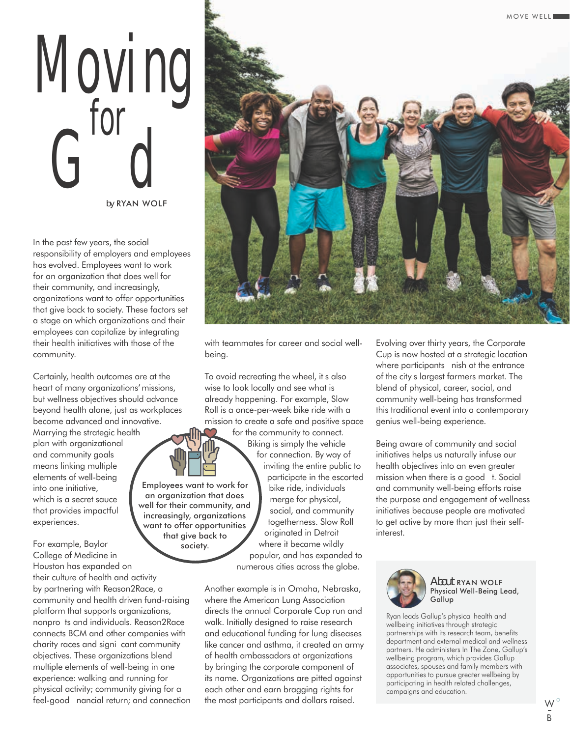## Moving Grad Grad *by* RYAN WOLF

In the past few years, the social responsibility of employers and employees has evolved. Employees want to work for an organization that does well for their community, and increasingly, organizations want to offer opportunities that give back to society. These factors set a stage on which organizations and their employees can capitalize by integrating their health initiatives with those of the community.

Certainly, health outcomes are at the heart of many organizations' missions, but wellness objectives should advance beyond health alone, just as workplaces become advanced and innovative.

Marrying the strategic health plan with organizational and community goals means linking multiple elements of well-being into one initiative, which is a secret sauce that provides impactful experiences.

For example, Baylor College of Medicine in Houston has expanded on their culture of health and activity by partnering with Reason2Race, a community and health driven fund-raising platform that supports organizations, nonpro ts and individuals. Reason2Race connects BCM and other companies with charity races and signi cant community objectives. These organizations blend multiple elements of well-being in one experience: walking and running for physical activity; community giving for a feel-good nancial return; and connection



with teammates for career and social wellbeing.

To avoid recreating the wheel, it s also wise to look locally and see what is already happening. For example, Slow Roll is a once-per-week bike ride with a mission to create a safe and positive space for the community to connect.

> Biking is simply the vehicle for connection. By way of inviting the entire public to participate in the escorted bike ride, individuals merge for physical, social, and community togetherness. Slow Roll originated in Detroit where it became wildly popular, and has expanded to numerous cities across the globe.

Another example is in Omaha, Nebraska, where the American Lung Association directs the annual Corporate Cup run and walk. Initially designed to raise research and educational funding for lung diseases like cancer and asthma, it created an army of health ambassadors at organizations by bringing the corporate component of its name. Organizations are pitted against each other and earn bragging rights for the most participants and dollars raised.

Evolving over thirty years, the Corporate Cup is now hosted at a strategic location where participants nish at the entrance of the citys largest farmers market. The blend of physical, career, social, and community well-being has transformed this traditional event into a contemporary genius well-being experience.

Being aware of community and social initiatives helps us naturally infuse our health objectives into an even greater mission when there is a good t. Social and community well-being efforts raise the purpose and engagement of wellness initiatives because people are motivated to get active by more than just their selfinterest.